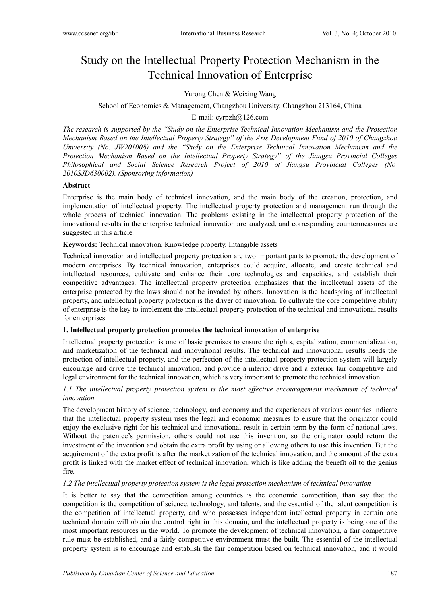# Study on the Intellectual Property Protection Mechanism in the Technical Innovation of Enterprise

# Yurong Chen & Weixing Wang

## School of Economics & Management, Changzhou University, Changzhou 213164, China

## E-mail: cyrpzh@126.com

*The research is supported by the "Study on the Enterprise Technical Innovation Mechanism and the Protection Mechanism Based on the Intellectual Property Strategy" of the Arts Development Fund of 2010 of Changzhou University (No. JW201008) and the "Study on the Enterprise Technical Innovation Mechanism and the Protection Mechanism Based on the Intellectual Property Strategy" of the Jiangsu Provincial Colleges Philosophical and Social Science Research Project of 2010 of Jiangsu Provincial Colleges (No. 2010SJD630002). (Sponsoring information)* 

#### **Abstract**

Enterprise is the main body of technical innovation, and the main body of the creation, protection, and implementation of intellectual property. The intellectual property protection and management run through the whole process of technical innovation. The problems existing in the intellectual property protection of the innovational results in the enterprise technical innovation are analyzed, and corresponding countermeasures are suggested in this article.

#### **Keywords:** Technical innovation, Knowledge property, Intangible assets

Technical innovation and intellectual property protection are two important parts to promote the development of modern enterprises. By technical innovation, enterprises could acquire, allocate, and create technical and intellectual resources, cultivate and enhance their core technologies and capacities, and establish their competitive advantages. The intellectual property protection emphasizes that the intellectual assets of the enterprise protected by the laws should not be invaded by others. Innovation is the headspring of intellectual property, and intellectual property protection is the driver of innovation. To cultivate the core competitive ability of enterprise is the key to implement the intellectual property protection of the technical and innovational results for enterprises.

#### **1. Intellectual property protection promotes the technical innovation of enterprise**

Intellectual property protection is one of basic premises to ensure the rights, capitalization, commercialization, and marketization of the technical and innovational results. The technical and innovational results needs the protection of intellectual property, and the perfection of the intellectual property protection system will largely encourage and drive the technical innovation, and provide a interior drive and a exterior fair competitive and legal environment for the technical innovation, which is very important to promote the technical innovation.

## *1.1 The intellectual property protection system is the most effective encouragement mechanism of technical innovation*

The development history of science, technology, and economy and the experiences of various countries indicate that the intellectual property system uses the legal and economic measures to ensure that the originator could enjoy the exclusive right for his technical and innovational result in certain term by the form of national laws. Without the patentee's permission, others could not use this invention, so the originator could return the investment of the invention and obtain the extra profit by using or allowing others to use this invention. But the acquirement of the extra profit is after the marketization of the technical innovation, and the amount of the extra profit is linked with the market effect of technical innovation, which is like adding the benefit oil to the genius fire.

#### *1.2 The intellectual property protection system is the legal protection mechanism of technical innovation*

It is better to say that the competition among countries is the economic competition, than say that the competition is the competition of science, technology, and talents, and the essential of the talent competition is the competition of intellectual property, and who possesses independent intellectual property in certain one technical domain will obtain the control right in this domain, and the intellectual property is being one of the most important resources in the world. To promote the development of technical innovation, a fair competitive rule must be established, and a fairly competitive environment must the built. The essential of the intellectual property system is to encourage and establish the fair competition based on technical innovation, and it would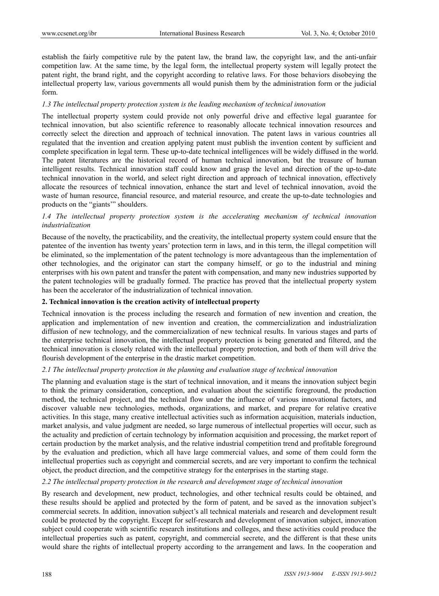establish the fairly competitive rule by the patent law, the brand law, the copyright law, and the anti-unfair competition law. At the same time, by the legal form, the intellectual property system will legally protect the patent right, the brand right, and the copyright according to relative laws. For those behaviors disobeying the intellectual property law, various governments all would punish them by the administration form or the judicial form.

#### *1.3 The intellectual property protection system is the leading mechanism of technical innovation*

The intellectual property system could provide not only powerful drive and effective legal guarantee for technical innovation, but also scientific reference to reasonably allocate technical innovation resources and correctly select the direction and approach of technical innovation. The patent laws in various countries all regulated that the invention and creation applying patent must publish the invention content by sufficient and complete specification in legal term. These up-to-date technical intelligences will be widely diffused in the world. The patent literatures are the historical record of human technical innovation, but the treasure of human intelligent results. Technical innovation staff could know and grasp the level and direction of the up-to-date technical innovation in the world, and select right direction and approach of technical innovation, effectively allocate the resources of technical innovation, enhance the start and level of technical innovation, avoid the waste of human resource, financial resource, and material resource, and create the up-to-date technologies and products on the "giants'" shoulders.

## *1.4 The intellectual property protection system is the accelerating mechanism of technical innovation industrialization*

Because of the novelty, the practicability, and the creativity, the intellectual property system could ensure that the patentee of the invention has twenty years' protection term in laws, and in this term, the illegal competition will be eliminated, so the implementation of the patent technology is more advantageous than the implementation of other technologies, and the originator can start the company himself, or go to the industrial and mining enterprises with his own patent and transfer the patent with compensation, and many new industries supported by the patent technologies will be gradually formed. The practice has proved that the intellectual property system has been the accelerator of the industrialization of technical innovation.

#### **2. Technical innovation is the creation activity of intellectual property**

Technical innovation is the process including the research and formation of new invention and creation, the application and implementation of new invention and creation, the commercialization and industrialization diffusion of new technology, and the commercialization of new technical results. In various stages and parts of the enterprise technical innovation, the intellectual property protection is being generated and filtered, and the technical innovation is closely related with the intellectual property protection, and both of them will drive the flourish development of the enterprise in the drastic market competition.

#### *2.1 The intellectual property protection in the planning and evaluation stage of technical innovation*

The planning and evaluation stage is the start of technical innovation, and it means the innovation subject begin to think the primary consideration, conception, and evaluation about the scientific foreground, the production method, the technical project, and the technical flow under the influence of various innovational factors, and discover valuable new technologies, methods, organizations, and market, and prepare for relative creative activities. In this stage, many creative intellectual activities such as information acquisition, materials induction, market analysis, and value judgment are needed, so large numerous of intellectual properties will occur, such as the actuality and prediction of certain technology by information acquisition and processing, the market report of certain production by the market analysis, and the relative industrial competition trend and profitable foreground by the evaluation and prediction, which all have large commercial values, and some of them could form the intellectual properties such as copyright and commercial secrets, and are very important to confirm the technical object, the product direction, and the competitive strategy for the enterprises in the starting stage.

#### *2.2 The intellectual property protection in the research and development stage of technical innovation*

By research and development, new product, technologies, and other technical results could be obtained, and these results should be applied and protected by the form of patent, and be saved as the innovation subject's commercial secrets. In addition, innovation subject's all technical materials and research and development result could be protected by the copyright. Except for self-research and development of innovation subject, innovation subject could cooperate with scientific research institutions and colleges, and these activities could produce the intellectual properties such as patent, copyright, and commercial secrete, and the different is that these units would share the rights of intellectual property according to the arrangement and laws. In the cooperation and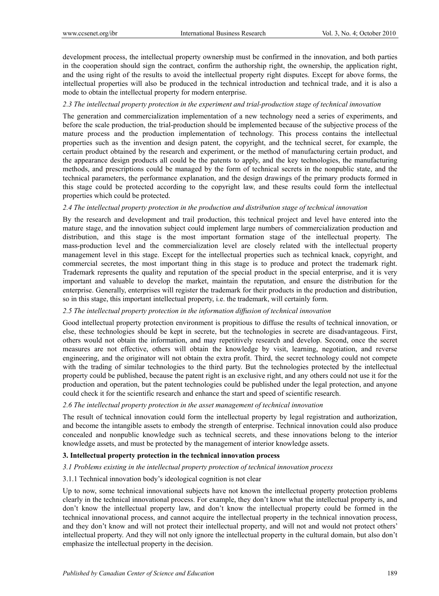development process, the intellectual property ownership must be confirmed in the innovation, and both parties in the cooperation should sign the contract, confirm the authorship right, the ownership, the application right, and the using right of the results to avoid the intellectual property right disputes. Except for above forms, the intellectual properties will also be produced in the technical introduction and technical trade, and it is also a mode to obtain the intellectual property for modern enterprise.

#### *2.3 The intellectual property protection in the experiment and trial-production stage of technical innovation*

The generation and commercialization implementation of a new technology need a series of experiments, and before the scale production, the trial-production should be implemented because of the subjective process of the mature process and the production implementation of technology. This process contains the intellectual properties such as the invention and design patent, the copyright, and the technical secret, for example, the certain product obtained by the research and experiment, or the method of manufacturing certain product, and the appearance design products all could be the patents to apply, and the key technologies, the manufacturing methods, and prescriptions could be managed by the form of technical secrets in the nonpublic state, and the technical parameters, the performance explanation, and the design drawings of the primary products formed in this stage could be protected according to the copyright law, and these results could form the intellectual properties which could be protected.

#### *2.4 The intellectual property protection in the production and distribution stage of technical innovation*

By the research and development and trail production, this technical project and level have entered into the mature stage, and the innovation subject could implement large numbers of commercialization production and distribution, and this stage is the most important formation stage of the intellectual property. The mass-production level and the commercialization level are closely related with the intellectual property management level in this stage. Except for the intellectual properties such as technical knack, copyright, and commercial secretes, the most important thing in this stage is to produce and protect the trademark right. Trademark represents the quality and reputation of the special product in the special enterprise, and it is very important and valuable to develop the market, maintain the reputation, and ensure the distribution for the enterprise. Generally, enterprises will register the trademark for their products in the production and distribution, so in this stage, this important intellectual property, i.e. the trademark, will certainly form.

#### *2.5 The intellectual property protection in the information diffusion of technical innovation*

Good intellectual property protection environment is propitious to diffuse the results of technical innovation, or else, these technologies should be kept in secrete, but the technologies in secrete are disadvantageous. First, others would not obtain the information, and may repetitively research and develop. Second, once the secret measures are not effective, others will obtain the knowledge by visit, learning, negotiation, and reverse engineering, and the originator will not obtain the extra profit. Third, the secret technology could not compete with the trading of similar technologies to the third party. But the technologies protected by the intellectual property could be published, because the patent right is an exclusive right, and any others could not use it for the production and operation, but the patent technologies could be published under the legal protection, and anyone could check it for the scientific research and enhance the start and speed of scientific research.

#### *2.6 The intellectual property protection in the asset management of technical innovation*

The result of technical innovation could form the intellectual property by legal registration and authorization, and become the intangible assets to embody the strength of enterprise. Technical innovation could also produce concealed and nonpublic knowledge such as technical secrets, and these innovations belong to the interior knowledge assets, and must be protected by the management of interior knowledge assets.

#### **3. Intellectual property protection in the technical innovation process**

#### *3.1 Problems existing in the intellectual property protection of technical innovation process*

#### 3.1.1 Technical innovation body's ideological cognition is not clear

Up to now, some technical innovational subjects have not known the intellectual property protection problems clearly in the technical innovational process. For example, they don't know what the intellectual property is, and don't know the intellectual property law, and don't know the intellectual property could be formed in the technical innovational process, and cannot acquire the intellectual property in the technical innovation process, and they don't know and will not protect their intellectual property, and will not and would not protect others' intellectual property. And they will not only ignore the intellectual property in the cultural domain, but also don't emphasize the intellectual property in the decision.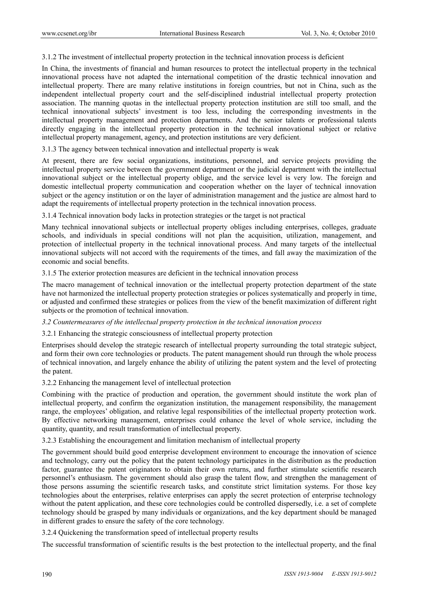3.1.2 The investment of intellectual property protection in the technical innovation process is deficient

In China, the investments of financial and human resources to protect the intellectual property in the technical innovational process have not adapted the international competition of the drastic technical innovation and intellectual property. There are many relative institutions in foreign countries, but not in China, such as the independent intellectual property court and the self-disciplined industrial intellectual property protection association. The manning quotas in the intellectual property protection institution are still too small, and the technical innovational subjects' investment is too less, including the corresponding investments in the intellectual property management and protection departments. And the senior talents or professional talents directly engaging in the intellectual property protection in the technical innovational subject or relative intellectual property management, agency, and protection institutions are very deficient.

3.1.3 The agency between technical innovation and intellectual property is weak

At present, there are few social organizations, institutions, personnel, and service projects providing the intellectual property service between the government department or the judicial department with the intellectual innovational subject or the intellectual property oblige, and the service level is very low. The foreign and domestic intellectual property communication and cooperation whether on the layer of technical innovation subject or the agency institution or on the layer of administration management and the justice are almost hard to adapt the requirements of intellectual property protection in the technical innovation process.

3.1.4 Technical innovation body lacks in protection strategies or the target is not practical

Many technical innovational subjects or intellectual property obliges including enterprises, colleges, graduate schools, and individuals in special conditions will not plan the acquisition, utilization, management, and protection of intellectual property in the technical innovational process. And many targets of the intellectual innovational subjects will not accord with the requirements of the times, and fall away the maximization of the economic and social benefits.

3.1.5 The exterior protection measures are deficient in the technical innovation process

The macro management of technical innovation or the intellectual property protection department of the state have not harmonized the intellectual property protection strategies or polices systematically and properly in time, or adjusted and confirmed these strategies or polices from the view of the benefit maximization of different right subjects or the promotion of technical innovation.

#### *3.2 Countermeasures of the intellectual property protection in the technical innovation process*

3.2.1 Enhancing the strategic consciousness of intellectual property protection

Enterprises should develop the strategic research of intellectual property surrounding the total strategic subject, and form their own core technologies or products. The patent management should run through the whole process of technical innovation, and largely enhance the ability of utilizing the patent system and the level of protecting the patent.

3.2.2 Enhancing the management level of intellectual protection

Combining with the practice of production and operation, the government should institute the work plan of intellectual property, and confirm the organization institution, the management responsibility, the management range, the employees' obligation, and relative legal responsibilities of the intellectual property protection work. By effective networking management, enterprises could enhance the level of whole service, including the quantity, quantity, and result transformation of intellectual property.

3.2.3 Establishing the encouragement and limitation mechanism of intellectual property

The government should build good enterprise development environment to encourage the innovation of science and technology, carry out the policy that the patent technology participates in the distribution as the production factor, guarantee the patent originators to obtain their own returns, and further stimulate scientific research personnel's enthusiasm. The government should also grasp the talent flow, and strengthen the management of those persons assuming the scientific research tasks, and constitute strict limitation systems. For those key technologies about the enterprises, relative enterprises can apply the secret protection of enterprise technology without the patent application, and these core technologies could be controlled dispersedly, i.e. a set of complete technology should be grasped by many individuals or organizations, and the key department should be managed in different grades to ensure the safety of the core technology.

3.2.4 Quickening the transformation speed of intellectual property results

The successful transformation of scientific results is the best protection to the intellectual property, and the final